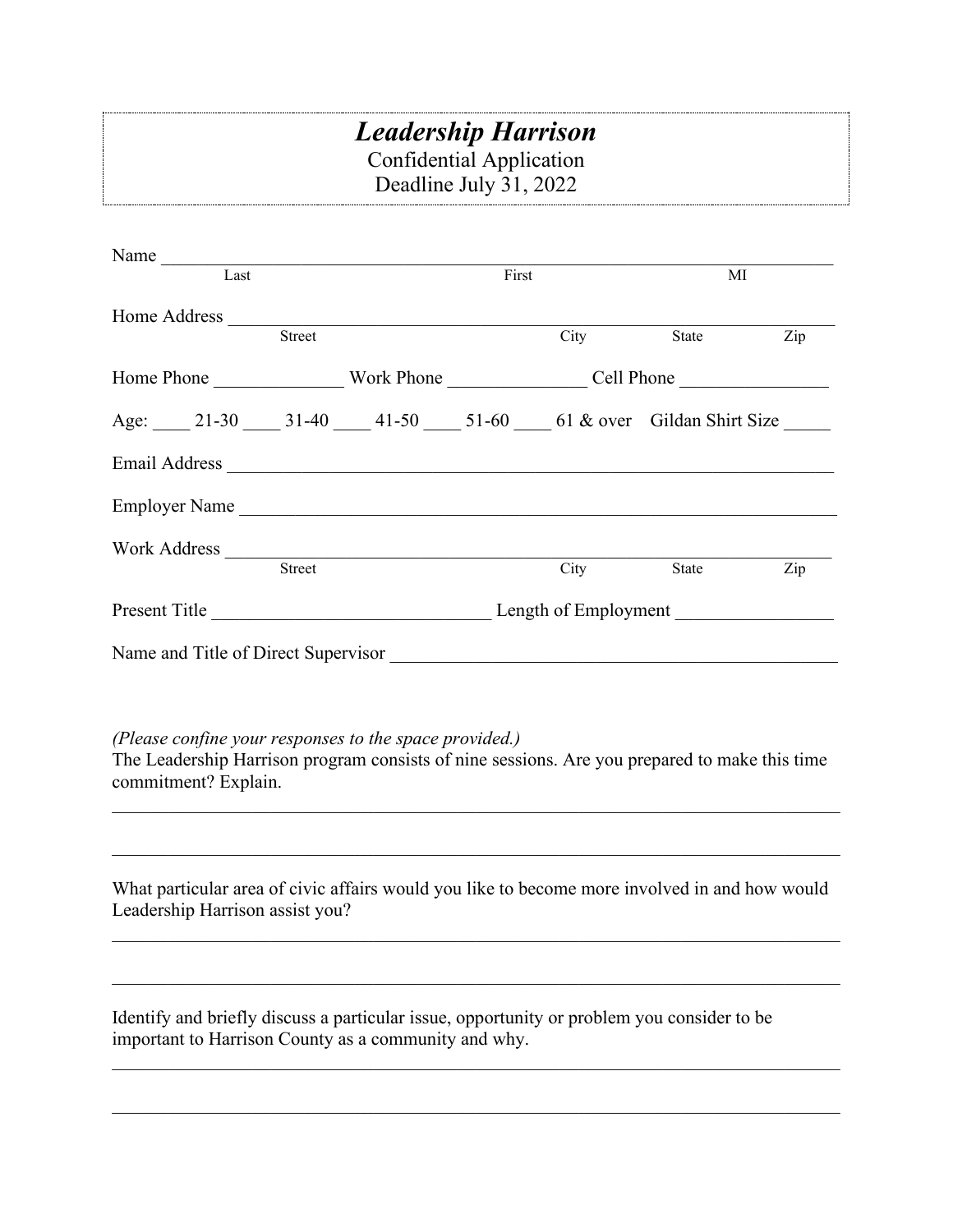## *Leadership Harrison* Confidential Application Deadline July 31, 2022

| Name<br>Last                                                                                                                                                                                                                         |  | First |      | MI    |                                   |
|--------------------------------------------------------------------------------------------------------------------------------------------------------------------------------------------------------------------------------------|--|-------|------|-------|-----------------------------------|
| Home Address <u>Street</u>                                                                                                                                                                                                           |  |       |      |       |                                   |
|                                                                                                                                                                                                                                      |  |       | City | State | Zip                               |
|                                                                                                                                                                                                                                      |  |       |      |       |                                   |
| Age: 21-30 31-40 41-50 51-60 61 & over Gildan Shirt Size                                                                                                                                                                             |  |       |      |       |                                   |
|                                                                                                                                                                                                                                      |  |       |      |       |                                   |
| Employer Name                                                                                                                                                                                                                        |  |       |      |       |                                   |
| Work Address <u>Street</u>                                                                                                                                                                                                           |  |       | City | State | $\mathop{\mathrm {Zip}}\nolimits$ |
| Present Title <b>Example 2</b> Length of Employment                                                                                                                                                                                  |  |       |      |       |                                   |
| Name and Title of Direct Supervisor                                                                                                                                                                                                  |  |       |      |       |                                   |
| (Please confine your responses to the space provided.)<br>The Leadership Harrison program consists of nine sessions. Are you prepared to make this time<br>commitment? Explain.                                                      |  |       |      |       |                                   |
|                                                                                                                                                                                                                                      |  |       |      |       |                                   |
| What particular area of civic affairs would you like to become more involved in and how would<br>Leadership Harrison assist you?                                                                                                     |  |       |      |       |                                   |
|                                                                                                                                                                                                                                      |  |       |      |       |                                   |
| $\mathbf{r}$ and $\mathbf{r}$ are the set of the set of the set of the set of the set of the set of the set of the set of the set of the set of the set of the set of the set of the set of the set of the set of the set of the set |  |       |      |       |                                   |

Identify and briefly discuss a particular issue, opportunity or problem you consider to be important to Harrison County as a community and why.

\_\_\_\_\_\_\_\_\_\_\_\_\_\_\_\_\_\_\_\_\_\_\_\_\_\_\_\_\_\_\_\_\_\_\_\_\_\_\_\_\_\_\_\_\_\_\_\_\_\_\_\_\_\_\_\_\_\_\_\_\_\_\_\_\_\_\_\_\_\_\_\_\_\_\_\_\_\_

\_\_\_\_\_\_\_\_\_\_\_\_\_\_\_\_\_\_\_\_\_\_\_\_\_\_\_\_\_\_\_\_\_\_\_\_\_\_\_\_\_\_\_\_\_\_\_\_\_\_\_\_\_\_\_\_\_\_\_\_\_\_\_\_\_\_\_\_\_\_\_\_\_\_\_\_\_\_